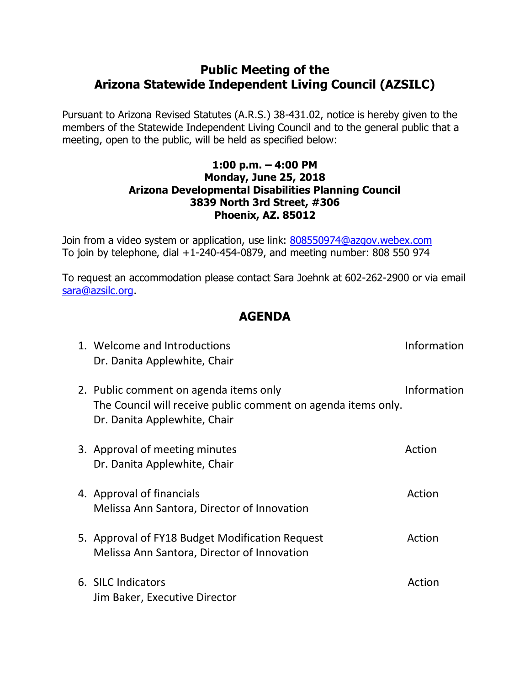## **Public Meeting of the Arizona Statewide Independent Living Council (AZSILC)**

Pursuant to Arizona Revised Statutes (A.R.S.) 38-431.02, notice is hereby given to the members of the Statewide Independent Living Council and to the general public that a meeting, open to the public, will be held as specified below:

## **1:00 p.m. – 4:00 PM Monday, June 25, 2018 Arizona Developmental Disabilities Planning Council 3839 North 3rd Street, #306 Phoenix, AZ. 85012**

Join from a video system or application, use link: [808550974@azgov.webex.com](sip:808550974@azgov.webex.com) To join by telephone, dial +1-240-454-0879, and meeting number: 808 550 974

To request an accommodation please contact Sara Joehnk at 602-262-2900 or via email [sara@azsilc.org.](mailto:lilia@azsilc.org)

## **AGENDA**

| 1. Welcome and Introductions<br>Dr. Danita Applewhite, Chair                                                                            | Information |
|-----------------------------------------------------------------------------------------------------------------------------------------|-------------|
| 2. Public comment on agenda items only<br>The Council will receive public comment on agenda items only.<br>Dr. Danita Applewhite, Chair | Information |
| 3. Approval of meeting minutes<br>Dr. Danita Applewhite, Chair                                                                          | Action      |
| 4. Approval of financials<br>Melissa Ann Santora, Director of Innovation                                                                | Action      |
| 5. Approval of FY18 Budget Modification Request<br>Melissa Ann Santora, Director of Innovation                                          | Action      |
| 6. SILC Indicators<br>Jim Baker, Executive Director                                                                                     | Action      |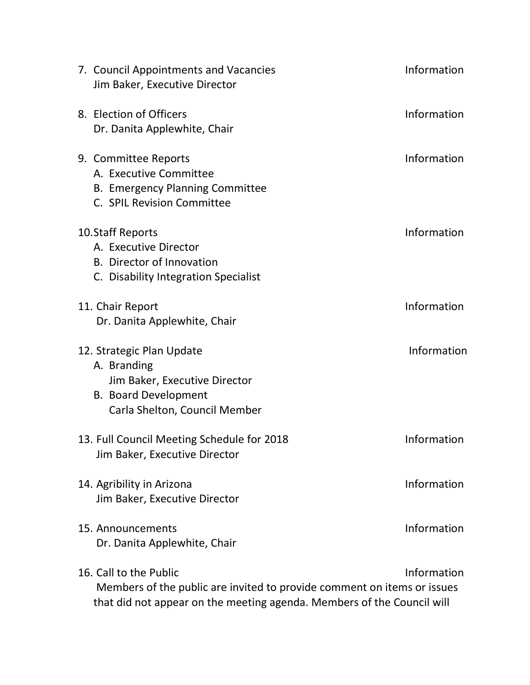| 7. Council Appointments and Vacancies<br>Jim Baker, Executive Director                                                                                                      | Information |
|-----------------------------------------------------------------------------------------------------------------------------------------------------------------------------|-------------|
| 8. Election of Officers<br>Dr. Danita Applewhite, Chair                                                                                                                     | Information |
| 9. Committee Reports<br>A. Executive Committee<br><b>B. Emergency Planning Committee</b><br>C. SPIL Revision Committee                                                      | Information |
| 10. Staff Reports<br>A. Executive Director<br><b>B.</b> Director of Innovation<br>C. Disability Integration Specialist                                                      | Information |
| 11. Chair Report<br>Dr. Danita Applewhite, Chair                                                                                                                            | Information |
| 12. Strategic Plan Update<br>A. Branding<br>Jim Baker, Executive Director<br><b>B. Board Development</b><br>Carla Shelton, Council Member                                   | Information |
| 13. Full Council Meeting Schedule for 2018<br>Jim Baker, Executive Director                                                                                                 | Information |
| 14. Agribility in Arizona<br>Jim Baker, Executive Director                                                                                                                  | Information |
| 15. Announcements<br>Dr. Danita Applewhite, Chair                                                                                                                           | Information |
| 16. Call to the Public<br>Members of the public are invited to provide comment on items or issues<br>that did not appear on the meeting agenda. Members of the Council will | Information |